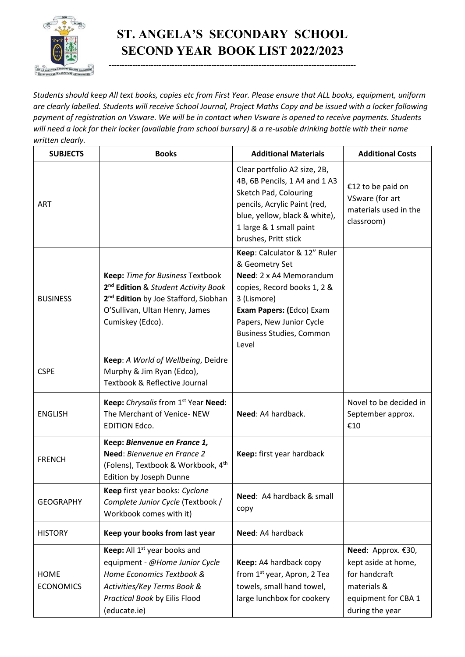

## **ST. ANGELA'S SECONDARY SCHOOL SECOND YEAR BOOK LIST 2022/2023**

**----------------------------------------------------------------------------------------------**

*Students should keep All text books, copies etc from First Year. Please ensure that ALL books, equipment, uniform are clearly labelled. Students will receive School Journal, Project Maths Copy and be issued with a locker following payment of registration on Vsware. We will be in contact when Vsware is opened to receive payments. Students will need a lock for their locker (available from school bursary) & a re-usable drinking bottle with their name written clearly.*

| <b>SUBJECTS</b>                 | <b>Books</b>                                                                                                                                                                                  | <b>Additional Materials</b>                                                                                                                                                                                                 | <b>Additional Costs</b>                                                                                             |
|---------------------------------|-----------------------------------------------------------------------------------------------------------------------------------------------------------------------------------------------|-----------------------------------------------------------------------------------------------------------------------------------------------------------------------------------------------------------------------------|---------------------------------------------------------------------------------------------------------------------|
| <b>ART</b>                      |                                                                                                                                                                                               | Clear portfolio A2 size, 2B,<br>4B, 6B Pencils, 1 A4 and 1 A3<br>Sketch Pad, Colouring<br>pencils, Acrylic Paint (red,<br>blue, yellow, black & white),<br>1 large & 1 small paint<br>brushes, Pritt stick                  | €12 to be paid on<br>VSware (for art<br>materials used in the<br>classroom)                                         |
| <b>BUSINESS</b>                 | Keep: Time for Business Textbook<br>2 <sup>nd</sup> Edition & Student Activity Book<br>2 <sup>nd</sup> Edition by Joe Stafford, Siobhan<br>O'Sullivan, Ultan Henry, James<br>Cumiskey (Edco). | Keep: Calculator & 12" Ruler<br>& Geometry Set<br>Need: 2 x A4 Memorandum<br>copies, Record books 1, 2 &<br>3 (Lismore)<br>Exam Papers: (Edco) Exam<br>Papers, New Junior Cycle<br><b>Business Studies, Common</b><br>Level |                                                                                                                     |
| <b>CSPE</b>                     | Keep: A World of Wellbeing, Deidre<br>Murphy & Jim Ryan (Edco),<br>Textbook & Reflective Journal                                                                                              |                                                                                                                                                                                                                             |                                                                                                                     |
| <b>ENGLISH</b>                  | Keep: Chrysalis from 1st Year Need:<br>The Merchant of Venice-NEW<br><b>EDITION Edco.</b>                                                                                                     | Need: A4 hardback.                                                                                                                                                                                                          | Novel to be decided in<br>September approx.<br>€10                                                                  |
| <b>FRENCH</b>                   | Keep: Bienvenue en France 1,<br>Need: Bienvenue en France 2<br>(Folens), Textbook & Workbook, 4th<br>Edition by Joseph Dunne                                                                  | Keep: first year hardback                                                                                                                                                                                                   |                                                                                                                     |
| <b>GEOGRAPHY</b>                | Keep first year books: Cyclone<br>Complete Junior Cycle (Textbook /<br>Workbook comes with it)                                                                                                | Need: A4 hardback & small<br>copy                                                                                                                                                                                           |                                                                                                                     |
| <b>HISTORY</b>                  | Keep your books from last year                                                                                                                                                                | Need: A4 hardback                                                                                                                                                                                                           |                                                                                                                     |
| <b>HOME</b><br><b>ECONOMICS</b> | Keep: All 1 <sup>st</sup> year books and<br>equipment - @Home Junior Cycle<br>Home Economics Textbook &<br>Activities/Key Terms Book &<br>Practical Book by Eilis Flood<br>(educate.ie)       | Keep: A4 hardback copy<br>from 1 <sup>st</sup> year, Apron, 2 Tea<br>towels, small hand towel,<br>large lunchbox for cookery                                                                                                | Need: Approx. €30,<br>kept aside at home,<br>for handcraft<br>materials &<br>equipment for CBA 1<br>during the year |